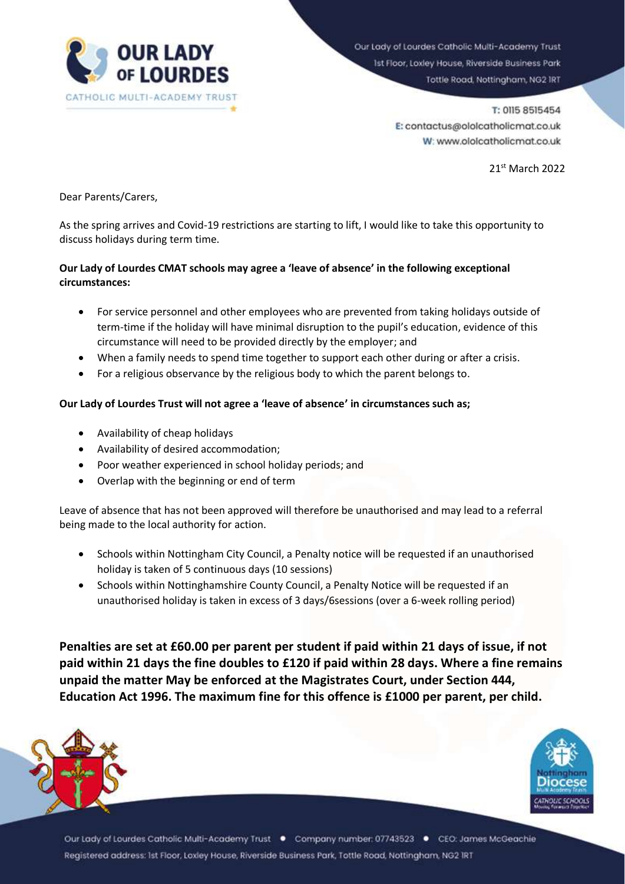

Our Lady of Lourdes Catholic Multi-Academy Trust 1st Floor, Loxley House, Riverside Business Park Tottle Road, Nottingham, NG2 IRT

> T: 0115 8515454 E: contactus@ololcatholicmat.co.uk W: www.ololcatholicmat.co.uk

> > 21st March 2022

Dear Parents/Carers,

As the spring arrives and Covid-19 restrictions are starting to lift, I would like to take this opportunity to discuss holidays during term time.

## **Our Lady of Lourdes CMAT schools may agree a 'leave of absence' in the following exceptional circumstances:**

- For service personnel and other employees who are prevented from taking holidays outside of term-time if the holiday will have minimal disruption to the pupil's education, evidence of this circumstance will need to be provided directly by the employer; and
- When a family needs to spend time together to support each other during or after a crisis.
- For a religious observance by the religious body to which the parent belongs to.

## **Our Lady of Lourdes Trust will not agree a 'leave of absence' in circumstances such as;**

- Availability of cheap holidays
- Availability of desired accommodation;
- Poor weather experienced in school holiday periods; and
- Overlap with the beginning or end of term

Leave of absence that has not been approved will therefore be unauthorised and may lead to a referral being made to the local authority for action.

- Schools within Nottingham City Council, a Penalty notice will be requested if an unauthorised holiday is taken of 5 continuous days (10 sessions)
- Schools within Nottinghamshire County Council, a Penalty Notice will be requested if an unauthorised holiday is taken in excess of 3 days/6sessions (over a 6-week rolling period)

**Penalties are set at £60.00 per parent per student if paid within 21 days of issue, if not paid within 21 days the fine doubles to £120 if paid within 28 days. Where a fine remains unpaid the matter May be enforced at the Magistrates Court, under Section 444, Education Act 1996. The maximum fine for this offence is £1000 per parent, per child.**